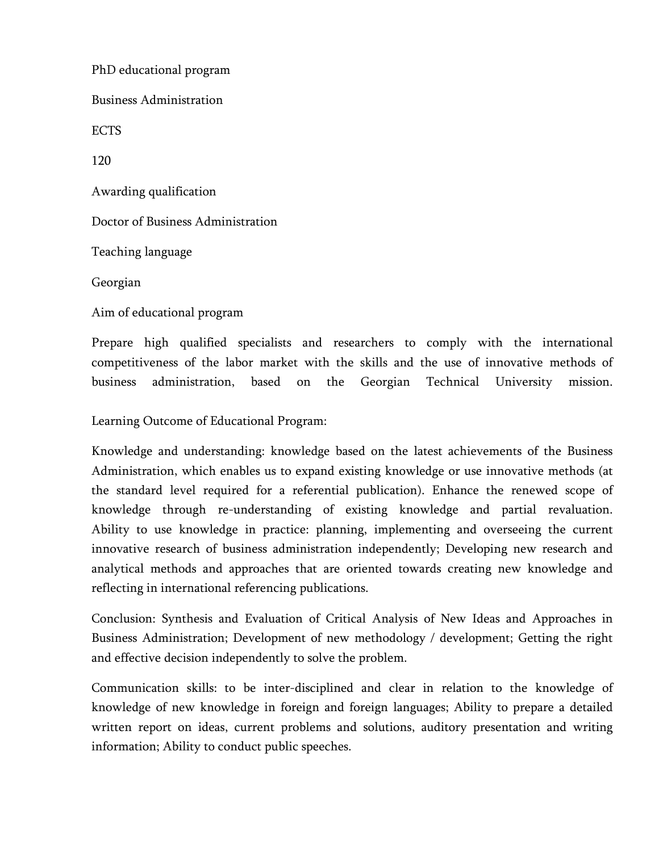PhD educational program Business Administration ECTS 120 Awarding qualification Doctor of Business Administration Teaching language Georgian Aim of educational program

Prepare high qualified specialists and researchers to comply with the international competitiveness of the labor market with the skills and the use of innovative methods of business administration, based on the Georgian Technical University mission.

Learning Outcome of Educational Program:

Knowledge and understanding: knowledge based on the latest achievements of the Business Administration, which enables us to expand existing knowledge or use innovative methods (at the standard level required for a referential publication). Enhance the renewed scope of knowledge through re-understanding of existing knowledge and partial revaluation. Ability to use knowledge in practice: planning, implementing and overseeing the current innovative research of business administration independently; Developing new research and analytical methods and approaches that are oriented towards creating new knowledge and reflecting in international referencing publications.

Conclusion: Synthesis and Evaluation of Critical Analysis of New Ideas and Approaches in Business Administration; Development of new methodology / development; Getting the right and effective decision independently to solve the problem.

Communication skills: to be inter-disciplined and clear in relation to the knowledge of knowledge of new knowledge in foreign and foreign languages; Ability to prepare a detailed written report on ideas, current problems and solutions, auditory presentation and writing information; Ability to conduct public speeches.